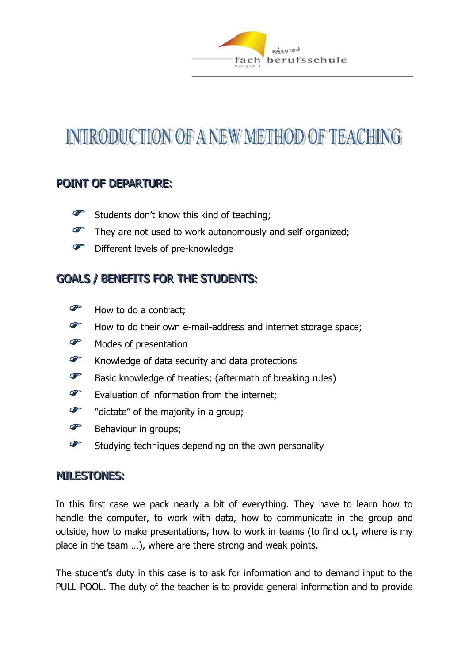

# INTRODUCTION OF A NEW METHOD OF TEACHING

# POINT OF DEPARTURE:

- $\bullet$ Students don't know this kind of teaching;
- $\mathscr{F}$ They are not used to work autonomously and self-organized;
- G Different levels of pre-knowledge

# GOALS / BENEFITS FOR THE STUDENTS:

- G How to do a contract;
- $\mathscr{F}$ How to do their own e-mail-address and internet storage space;
- G Modes of presentation
- $\mathscr{F}$ Knowledge of data security and data protections
- $\mathcal{F}$ Basic knowledge of treaties; (aftermath of breaking rules)
- $\mathcal{F}$ Evaluation of information from the internet;
- G "dictate" of the majority in a group;
- $\mathscr{F}$ Behaviour in groups;
- P Studying techniques depending on the own personality

#### **MILESTONES:**

In this first case we pack nearly a bit of everything. They have to learn how to handle the computer, to work with data, how to communicate in the group and outside, how to make presentations, how to work in teams (to find out, where is my place in the team …), where are there strong and weak points.

The student's duty in this case is to ask for information and to demand input to the PULL-POOL. The duty of the teacher is to provide general information and to provide